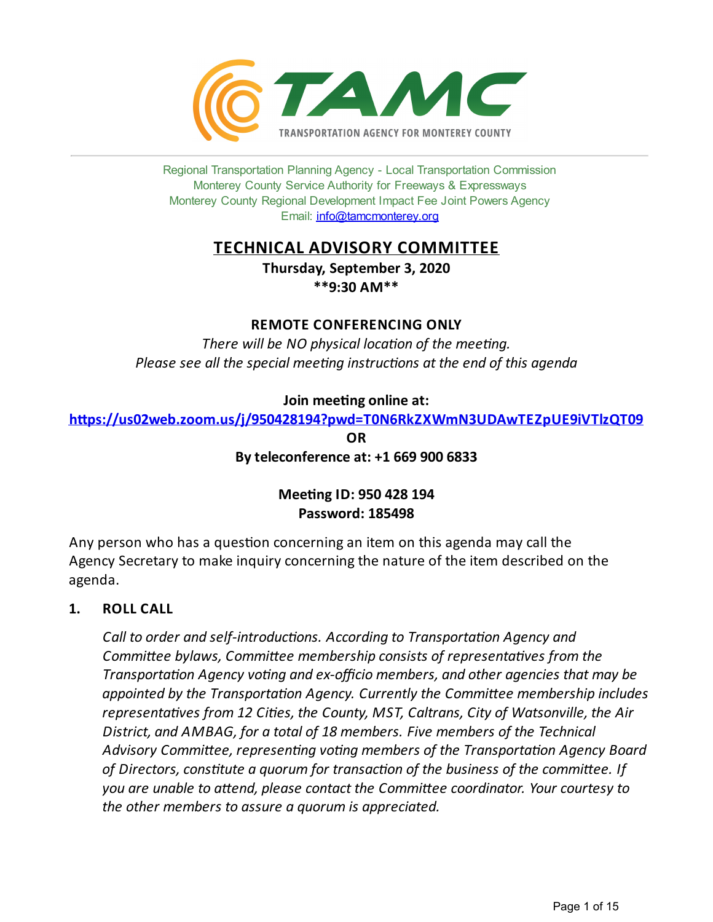

Regional Transportation Planning Agency - Local Transportation Commission Monterey County Service Authority for Freeways & Expressways Monterey County Regional Development Impact Fee Joint Powers Agency Email: [info@tamcmonterey.org](file:///C:/Windows/TEMP/info@tamcmonterey.org)

# **TECHNICAL ADVISORY COMMITTEE**

**Thursday, September 3, 2020 \*\*9:30 AM\*\***

## **REMOTE CONFERENCING ONLY**

*There* will be NO physical location of the meeting. *Please see* all the *special* meeting *instructions* at the end of this agenda

## **Join** meeting online at:

**[h-ps://us02web.zoom.us/j/950428194?pwd=T0N6RkZXWmN3UDAwTEZpUE9iVTlzQT09](https://us02web.zoom.us/j/950428194?pwd=T0N6RkZXWmN3UDAwTEZpUE9iVTlzQT09) OR**

**Byteleconference at: +1 669 900 6833**

## **Mee\*ngID: 950 428 194 Password: 185498**

Any person who has a question concerning an item on this agenda may call the Agency Secretary to make inquiry concerning the nature of the item described on the agenda.

## **1. ROLL CALL**

*Call* to *order* and *self-introductions. According* to *Transportation Agency and Committee bylaws, Committee membership consists of representatives from the Transportation Agency voting and ex-officio members*, *and other agencies that may be appointed by the Transportation Agency. Currently the Committee membership includes representaves from 12 Cies, the County, MST, Caltrans, City of Watsonville, the Air District, and AMBAG, for a total of 18 members. Five members of the Technical* Advisory Committee, representing voting members of the Transportation Agency Board *of Directors,constute a quorum for transacon of the business of the commiee. If you* are unable to attend, please contact the Committee coordinator. Your courtesy to *the other members to assure a quorum is appreciated.*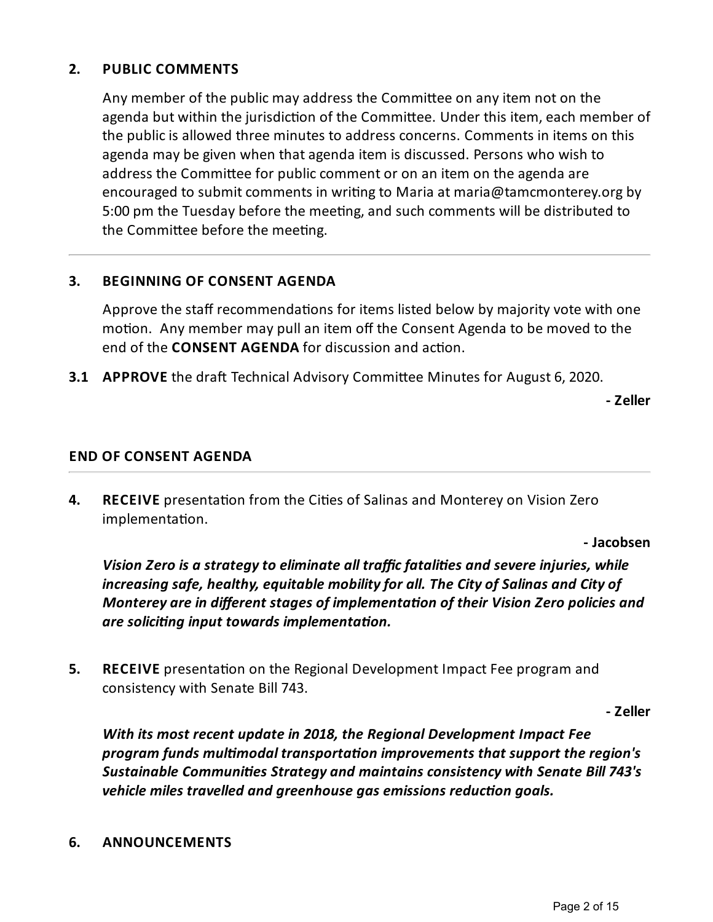## **2. PUBLIC COMMENTS**

Any member of the public may address the Committee on any item not on the agenda but within the jurisdiction of the Committee. Under this item, each member of the public is allowed three minutes to address concerns. Comments in items on this agenda may be given when that agenda item is discussed. Persons who wish to address the Committee for public comment or on an item on the agenda are encouraged to submit comments in writing to Maria at maria@tamcmonterey.org by 5:00 pm the Tuesday before the meeting, and such comments will be distributed to the Committee before the meeting.

## **3. BEGINNING OF CONSENT AGENDA**

Approve the staff recommendations for items listed below by majority vote with one motion. Any member may pull an item off the Consent Agenda to be moved to the end of the **CONSENT AGENDA** for discussion and action.

**3.1 APPROVE** the draft Technical Advisory Committee Minutes for August 6, 2020.

**- Zeller**

## **END OF CONSENT AGENDA**

**4. RECEIVE** presentation from the Cities of Salinas and Monterey on Vision Zero implementation.

**- Jacobsen**

*Vision Zero is a strategyto eliminate all traffic fatalies and severeinjuries, while increasing safe, healthy,equitable mobilityfor all. The City of Salinas and City of Monterey* are in different stages of *implementation* of their Vision Zero policies and *aresolicing input towards implementaon.*

**5. RECEIVE** presentation on the Regional Development Impact Fee program and consistency with Senate Bill 743.

**- Zeller**

*With its most recent updatein 2018, the Regional Development Impact Fee program funds mulmodal transportaon improvements that support theregion's Sustainable Communies Strategy and maintains consistency with Senate Bill 743's vehicle miles travelled* and *greenhouse gas emissions reduction goals.* 

## **6. ANNOUNCEMENTS**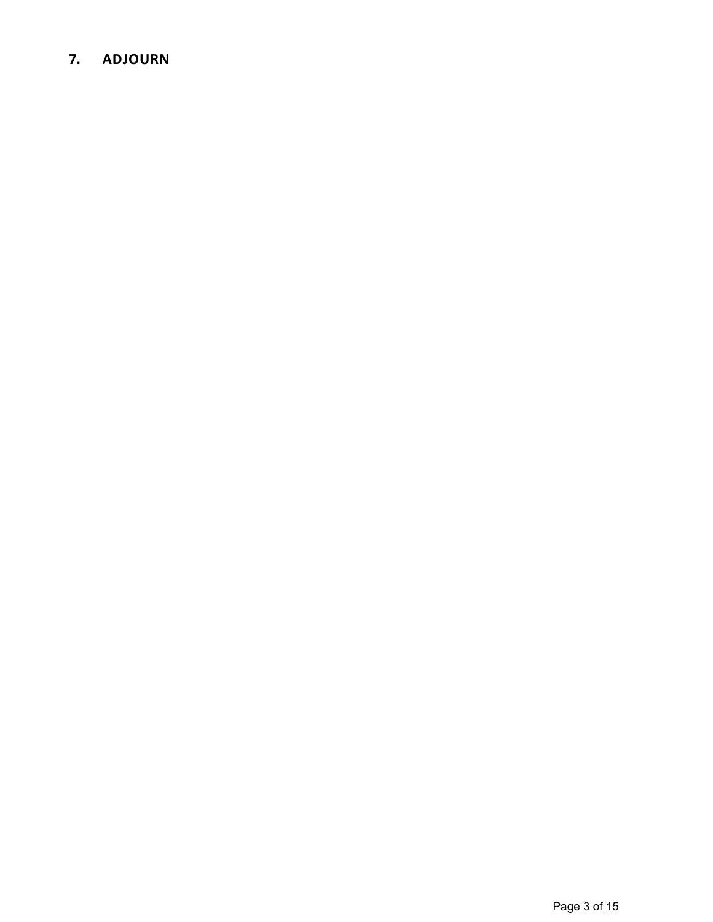# **7. ADJOURN**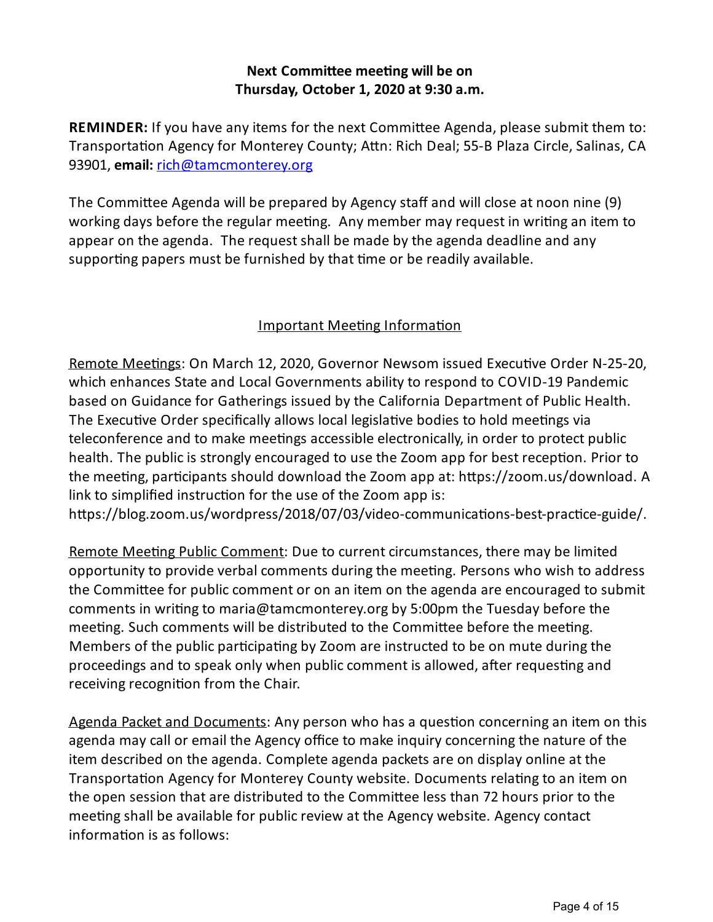## **Next Committee meeting will be on Thursday, October 1, 2020 at 9:30 a.m.**

**REMINDER:** If you have any items for the next Committee Agenda, please submit them to: Transportation Agency for Monterey County; Attn: Rich Deal; 55-B Plaza Circle, Salinas, CA 93901, **email:** [rich@tamcmonterey.org](mailto:rich@tamcmonterey.org)

The Committee Agenda will be prepared by Agency staff and will close at noon nine (9) working days before the regular meeting. Any member may request in writing an item to appear on the agenda. The request shall be made by the agenda deadline and any supporting papers must be furnished by that time or be readily available.

## Important Meeting Information

Remote Meetings: On March 12, 2020, Governor Newsom issued Executive Order N-25-20, which enhances State and Local Governments ability to respond to COVID-19 Pandemic based on Guidance for Gatherings issued by the California Department of Public Health. The Executive Order specifically allows local legislative bodies to hold meetings via teleconference and to make meetings accessible electronically, in order to protect public health. The public is strongly encouraged to use the Zoom app for best reception. Prior to the meeting, participants should download the Zoom app at: https://zoom.us/download. A link to simplified instruction for the use of the Zoom app is:

https://blog.zoom.us/wordpress/2018/07/03/video-communications-best-practice-guide/.

Remote Meeting Public Comment: Due to current circumstances, there may be limited opportunity to provide verbal comments during the meeting. Persons who wish to address the Committee for public comment or on an item on the agenda are encouraged to submit comments in writing to maria@tamcmonterey.org by 5:00pm the Tuesday before the meeting. Such comments will be distributed to the Committee before the meeting. Members of the public participating by Zoom are instructed to be on mute during the proceedings and to speak only when public comment is allowed, after requesting and receiving recognition from the Chair.

Agenda Packet and Documents: Any person who has a question concerning an item on this agenda may call or email the Agency office to make inquiry concerning the nature of the item described on the agenda. Complete agenda packets are on display online at the Transportation Agency for Monterey County website. Documents relating to an item on the open session that are distributed to the Committee less than 72 hours prior to the meeting shall be available for public review at the Agency website. Agency contact information is as follows: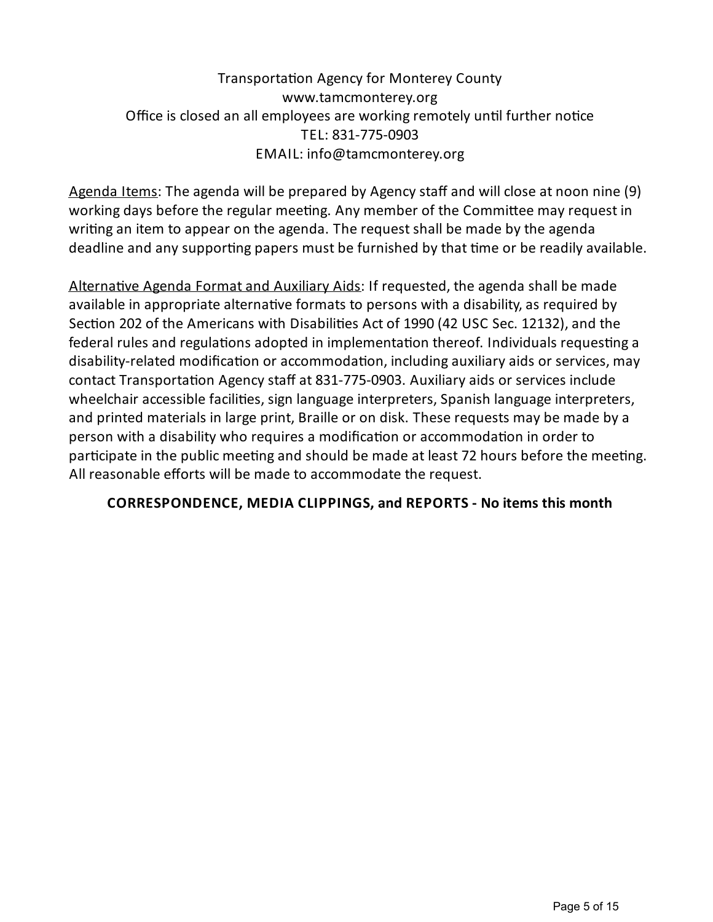# Transportation Agency for Monterey County www.tamcmonterey.org Office is closed an all employees are working remotely until further notice TEL: 831-775-0903 EMAIL: info@tamcmonterey.org

Agenda Items: The agenda will be prepared by Agency staff and will close at noon nine (9) working days before the regular meeting. Any member of the Committee may request in writing an item to appear on the agenda. The request shall be made by the agenda deadline and any supporting papers must be furnished by that time or be readily available.

Alternative Agenda Format and Auxiliary Aids: If requested, the agenda shall be made available in appropriate alternative formats to persons with a disability, as required by Section 202 of the Americans with Disabilities Act of 1990 (42 USC Sec. 12132), and the federal rules and regulations adopted in implementation thereof. Individuals requesting a disability-related modification or accommodation, including auxiliary aids or services, may contact Transportation Agency staff at 831-775-0903. Auxiliary aids or services include wheelchair accessible facilities, sign language interpreters, Spanish language interpreters, and printed materials in large print, Braille or on disk. These requests may be made by a person with a disability who requires a modification or accommodation in order to participate in the public meeting and should be made at least 72 hours before the meeting. All reasonable efforts will be made to accommodate the request.

## **CORRESPONDENCE, MEDIA CLIPPINGS, and REPORTS - No items this month**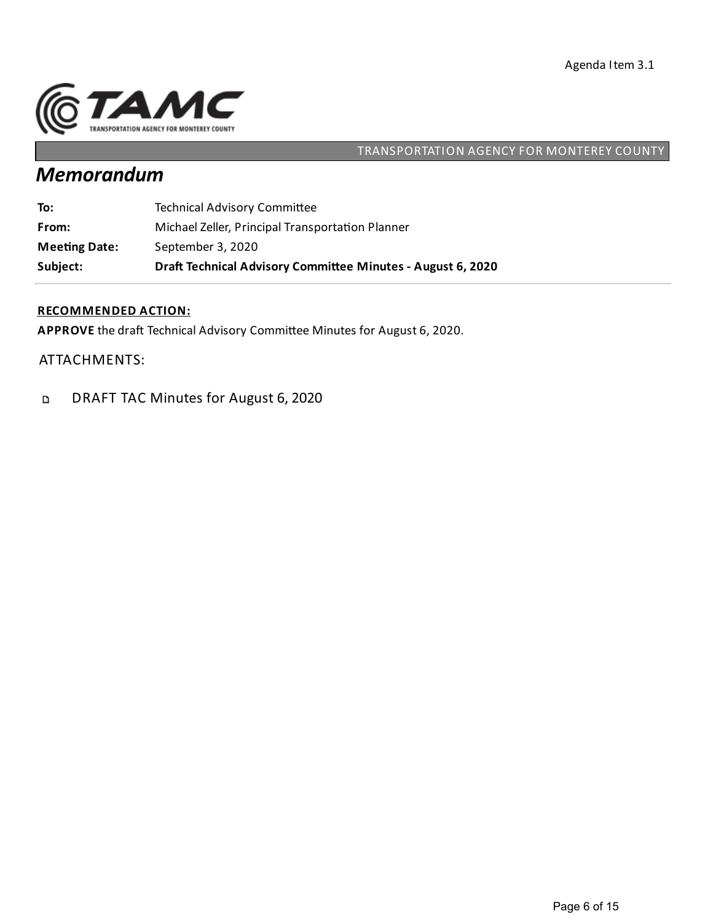

## TRANSPORTATION AGENCY FOR MONTEREY COUNTY

# *Memorandum*

| Subject:             | Draft Technical Advisory Committee Minutes - August 6, 2020 |
|----------------------|-------------------------------------------------------------|
| <b>Meeting Date:</b> | September 3, 2020                                           |
| From:                | Michael Zeller, Principal Transportation Planner            |
| To:                  | <b>Technical Advisory Committee</b>                         |

## **RECOMMENDED ACTION:**

APPROVE the draft Technical Advisory Committee Minutes for August 6, 2020.

ATTACHMENTS:

DRAFT TAC Minutes for August 6, 2020  $\mathbf{D}$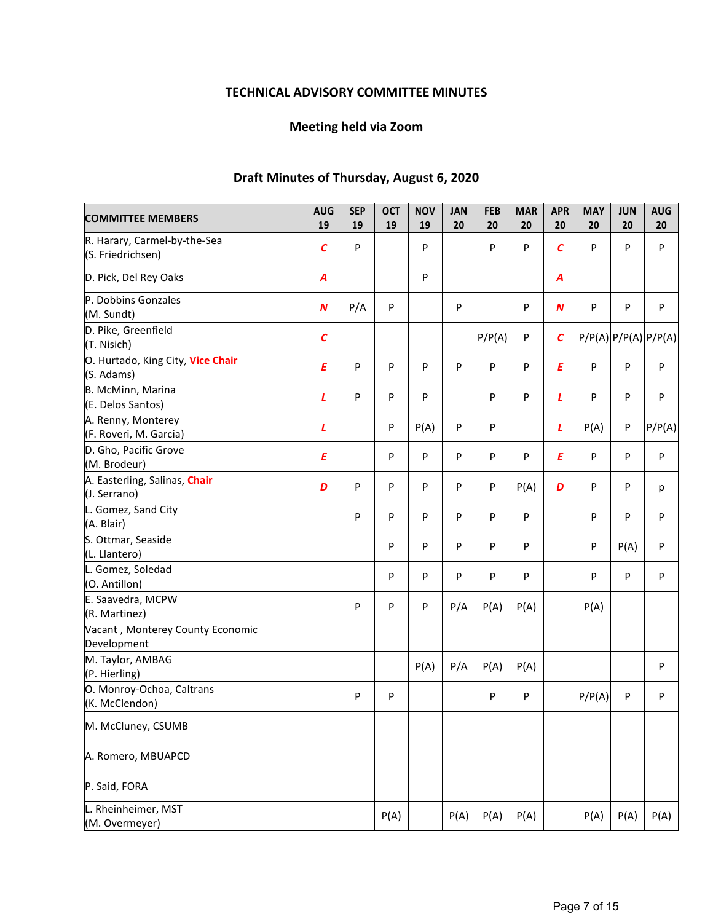## **TECHNICAL ADVISORY COMMITTEE MINUTES**

## **Meeting held via Zoom**

## **Draft Minutes of Thursday, August 6, 2020**

| <b>COMMITTEE MEMBERS</b>                          | <b>AUG</b><br>19 | <b>SEP</b><br>19 | <b>OCT</b><br>19 | <b>NOV</b><br>19 | <b>JAN</b><br>20 | <b>FEB</b><br>20 | <b>MAR</b><br>20 | <b>APR</b><br>20 | <b>MAY</b><br>20 | <b>JUN</b><br>20 | <b>AUG</b><br>20           |
|---------------------------------------------------|------------------|------------------|------------------|------------------|------------------|------------------|------------------|------------------|------------------|------------------|----------------------------|
| R. Harary, Carmel-by-the-Sea<br>(S. Friedrichsen) | $\epsilon$       | P                |                  | P                |                  | P                | P                | $\epsilon$       | P                | P                | P                          |
| D. Pick, Del Rey Oaks                             | $\boldsymbol{A}$ |                  |                  | P                |                  |                  |                  | Α                |                  |                  |                            |
| P. Dobbins Gonzales<br>(M. Sundt)                 | $\boldsymbol{N}$ | P/A              | P                |                  | P                |                  | P                | N                | P                | P                | P                          |
| D. Pike, Greenfield<br>(T. Nisich)                | $\mathcal{C}$    |                  |                  |                  |                  | P/P(A)           | P                | $\epsilon$       |                  |                  | $P/P(A)$ $P/P(A)$ $P/P(A)$ |
| O. Hurtado, King City, Vice Chair<br>(S. Adams)   | $\pmb{E}$        | P                | P                | P                | P                | P                | P                | E                | P                | P                | P                          |
| B. McMinn, Marina<br>(E. Delos Santos)            | L                | P                | P                | P                |                  | P                | ${\sf P}$        | L                | P                | P                | P                          |
| A. Renny, Monterey<br>(F. Roveri, M. Garcia)      | L                |                  | P                | P(A)             | P                | P                |                  | L                | P(A)             | P                | P/P(A)                     |
| D. Gho, Pacific Grove<br>(M. Brodeur)             | E                |                  | P                | P                | P                | P                | P                | E                | P                | P                | P                          |
| A. Easterling, Salinas, Chair<br>(J. Serrano)     | D                | P                | P                | P                | P                | P                | P(A)             | D                | P                | P                | р                          |
| L. Gomez, Sand City<br>(A. Blair)                 |                  | P                | P                | P                | P                | P                | P                |                  | P                | P                | P                          |
| S. Ottmar, Seaside<br>(L. Llantero)               |                  |                  | P                | P                | P                | P                | P                |                  | P                | P(A)             | P                          |
| L. Gomez, Soledad<br>(O. Antillon)                |                  |                  | P                | P                | P                | P                | P                |                  | P                | P                | ${\sf P}$                  |
| E. Saavedra, MCPW<br>(R. Martinez)                |                  | P                | P                | P                | P/A              | P(A)             | P(A)             |                  | P(A)             |                  |                            |
| Vacant, Monterey County Economic<br>Development   |                  |                  |                  |                  |                  |                  |                  |                  |                  |                  |                            |
| M. Taylor, AMBAG<br>(P. Hierling)                 |                  |                  |                  | P(A)             | P/A              | P(A)             | P(A)             |                  |                  |                  | P                          |
| O. Monroy-Ochoa, Caltrans<br>(K. McClendon)       |                  | P                | P                |                  |                  | P                | P                |                  | P/P(A)           | P                | P                          |
| M. McCluney, CSUMB                                |                  |                  |                  |                  |                  |                  |                  |                  |                  |                  |                            |
| A. Romero, MBUAPCD                                |                  |                  |                  |                  |                  |                  |                  |                  |                  |                  |                            |
| P. Said, FORA                                     |                  |                  |                  |                  |                  |                  |                  |                  |                  |                  |                            |
| L. Rheinheimer, MST<br>(M. Overmeyer)             |                  |                  | P(A)             |                  | P(A)             | P(A)             | P(A)             |                  | P(A)             | P(A)             | P(A)                       |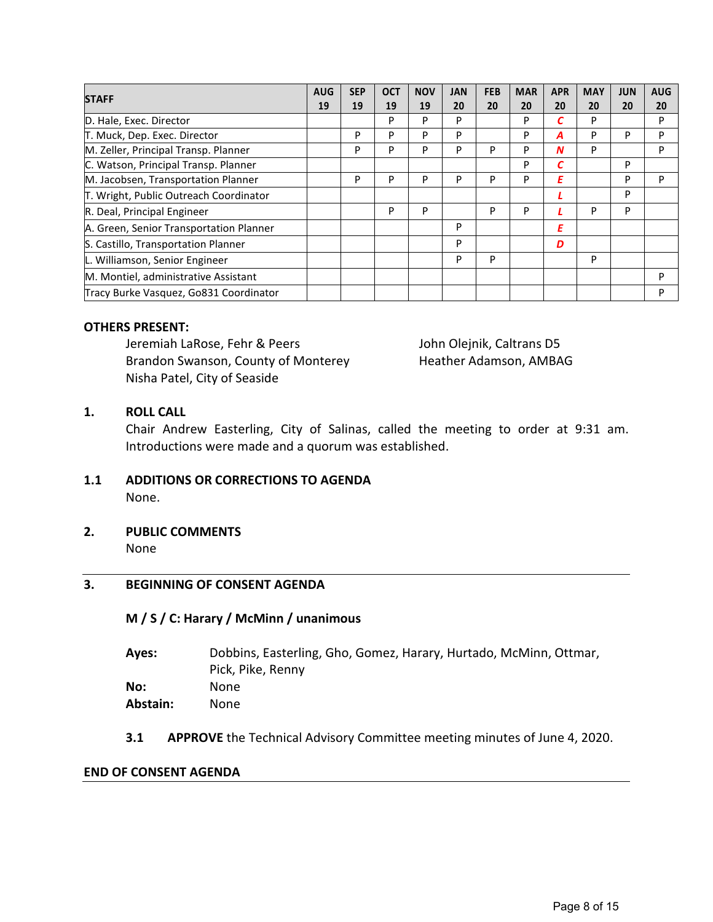| <b>STAFF</b>                            | <b>AUG</b> | <b>SEP</b> | <b>OCT</b> | <b>NOV</b> | <b>JAN</b> | <b>FEB</b> | <b>MAR</b> | <b>APR</b> | <b>MAY</b> | <b>JUN</b> | <b>AUG</b> |
|-----------------------------------------|------------|------------|------------|------------|------------|------------|------------|------------|------------|------------|------------|
|                                         | 19         | 19         | 19         | 19         | 20         | 20         | 20         | 20         | 20         | 20         | 20         |
| D. Hale, Exec. Director                 |            |            | P          | P          | P          |            | P          | С          | P          |            | P          |
| T. Muck, Dep. Exec. Director            |            | P          | P          | P          | P          |            | P          | A          | P          | P          | P          |
| M. Zeller, Principal Transp. Planner    |            | P          | P          | P          | P          | P          | P          | N          | P          |            | P          |
| C. Watson, Principal Transp. Planner    |            |            |            |            |            |            | P          | С          |            | P          |            |
| M. Jacobsen, Transportation Planner     |            | P          | P          | P          | P          | P          | P          | E          |            | P          | P          |
| T. Wright, Public Outreach Coordinator  |            |            |            |            |            |            |            |            |            | P          |            |
| R. Deal, Principal Engineer             |            |            | P          | P          |            | P          | P          |            | P          | P          |            |
| A. Green, Senior Transportation Planner |            |            |            |            | P          |            |            | Ε          |            |            |            |
| S. Castillo, Transportation Planner     |            |            |            |            | P          |            |            | D          |            |            |            |
| L. Williamson, Senior Engineer          |            |            |            |            | P          | P          |            |            | P          |            |            |
| M. Montiel, administrative Assistant    |            |            |            |            |            |            |            |            |            |            | P          |
| Tracy Burke Vasquez, Go831 Coordinator  |            |            |            |            |            |            |            |            |            |            | P          |

#### **OTHERS PRESENT:**

Jeremiah LaRose, Fehr & Peers John Olejnik, Caltrans D5 Brandon Swanson, County of Monterey Heather Adamson, AMBAG Nisha Patel, City of Seaside

## **1. ROLL CALL**

Chair Andrew Easterling, City of Salinas, called the meeting to order at 9:31 am. Introductions were made and a quorum was established.

#### **1.1 ADDITIONS OR CORRECTIONS TO AGENDA**  None.

**2. PUBLIC COMMENTS**  None

## **3. BEGINNING OF CONSENT AGENDA**

## **M / S / C: Harary / McMinn / unanimous**

| Dobbins, Easterling, Gho, Gomez, Harary, Hurtado, McMinn, Ottmar, |
|-------------------------------------------------------------------|
| Pick, Pike, Renny                                                 |
| None                                                              |
| None                                                              |
|                                                                   |

**3.1 APPROVE** the Technical Advisory Committee meeting minutes of June 4, 2020.

## **END OF CONSENT AGENDA**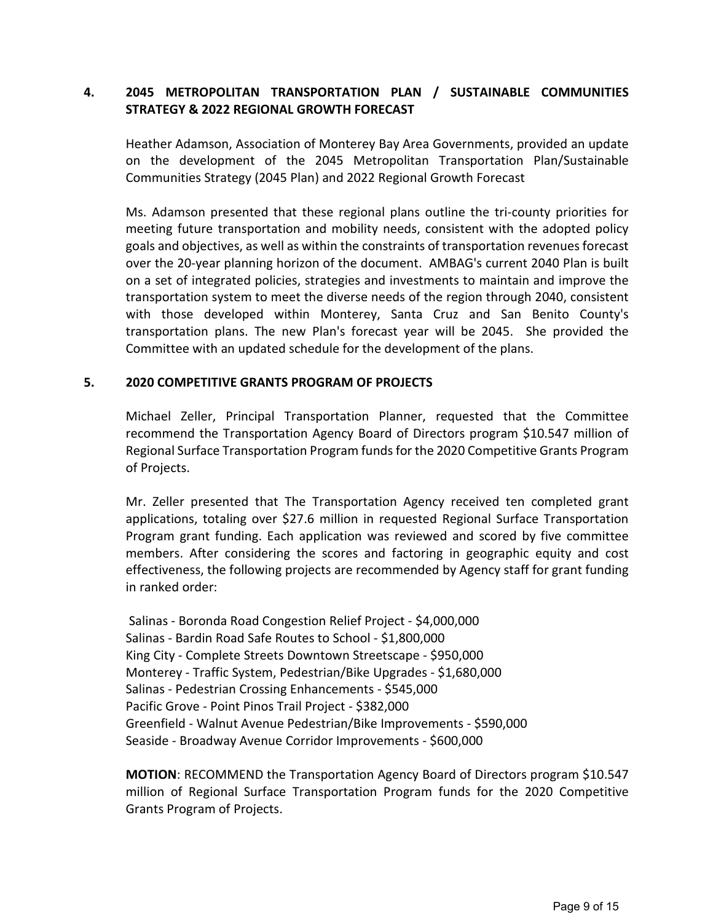## **4. 2045 METROPOLITAN TRANSPORTATION PLAN / SUSTAINABLE COMMUNITIES STRATEGY & 2022 REGIONAL GROWTH FORECAST**

Heather Adamson, Association of Monterey Bay Area Governments, provided an update on the development of the 2045 Metropolitan Transportation Plan/Sustainable Communities Strategy (2045 Plan) and 2022 Regional Growth Forecast

Ms. Adamson presented that these regional plans outline the tri-county priorities for meeting future transportation and mobility needs, consistent with the adopted policy goals and objectives, as well as within the constraints of transportation revenues forecast over the 20-year planning horizon of the document. AMBAG's current 2040 Plan is built on a set of integrated policies, strategies and investments to maintain and improve the transportation system to meet the diverse needs of the region through 2040, consistent with those developed within Monterey, Santa Cruz and San Benito County's transportation plans. The new Plan's forecast year will be 2045. She provided the Committee with an updated schedule for the development of the plans.

#### **5. 2020 COMPETITIVE GRANTS PROGRAM OF PROJECTS**

Michael Zeller, Principal Transportation Planner, requested that the Committee recommend the Transportation Agency Board of Directors program \$10.547 million of Regional Surface Transportation Program funds for the 2020 Competitive Grants Program of Projects.

Mr. Zeller presented that The Transportation Agency received ten completed grant applications, totaling over \$27.6 million in requested Regional Surface Transportation Program grant funding. Each application was reviewed and scored by five committee members. After considering the scores and factoring in geographic equity and cost effectiveness, the following projects are recommended by Agency staff for grant funding in ranked order:

 Salinas - Boronda Road Congestion Relief Project - \$4,000,000 Salinas - Bardin Road Safe Routes to School - \$1,800,000 King City - Complete Streets Downtown Streetscape - \$950,000 Monterey - Traffic System, Pedestrian/Bike Upgrades - \$1,680,000 Salinas - Pedestrian Crossing Enhancements - \$545,000 Pacific Grove - Point Pinos Trail Project - \$382,000 Greenfield - Walnut Avenue Pedestrian/Bike Improvements - \$590,000 Seaside - Broadway Avenue Corridor Improvements - \$600,000

**MOTION**: RECOMMEND the Transportation Agency Board of Directors program \$10.547 million of Regional Surface Transportation Program funds for the 2020 Competitive Grants Program of Projects.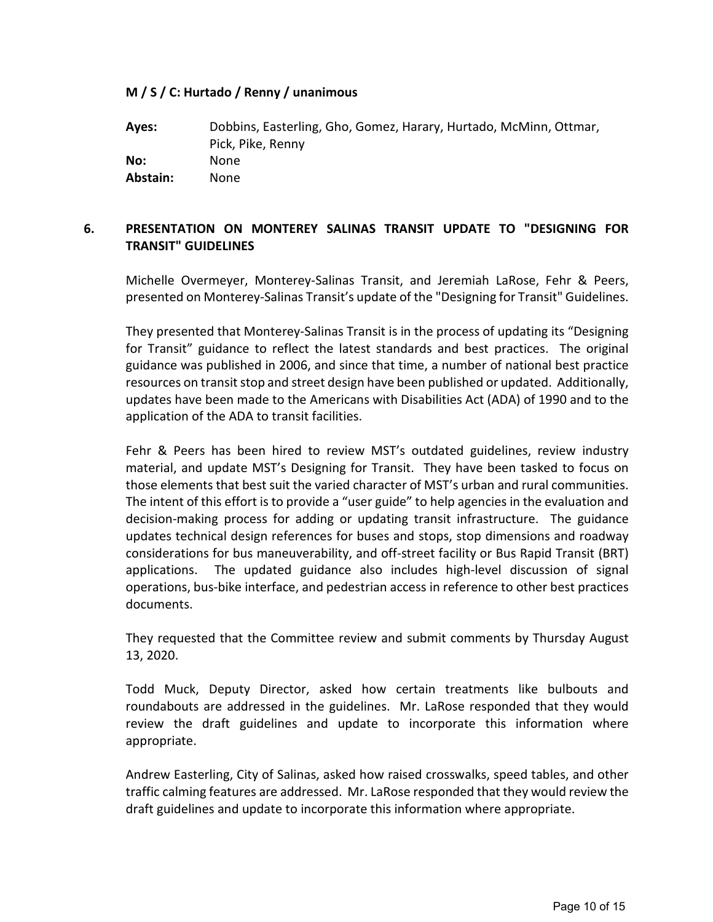## **M / S / C: Hurtado / Renny / unanimous**

| Ayes:    | Dobbins, Easterling, Gho, Gomez, Harary, Hurtado, McMinn, Ottmar, |
|----------|-------------------------------------------------------------------|
|          | Pick, Pike, Renny                                                 |
| No:      | None                                                              |
| Abstain: | None                                                              |

## **6. PRESENTATION ON MONTEREY SALINAS TRANSIT UPDATE TO "DESIGNING FOR TRANSIT" GUIDELINES**

Michelle Overmeyer, Monterey-Salinas Transit, and Jeremiah LaRose, Fehr & Peers, presented on Monterey-Salinas Transit's update of the "Designing for Transit" Guidelines.

They presented that Monterey-Salinas Transit is in the process of updating its "Designing for Transit" guidance to reflect the latest standards and best practices. The original guidance was published in 2006, and since that time, a number of national best practice resources on transit stop and street design have been published or updated. Additionally, updates have been made to the Americans with Disabilities Act (ADA) of 1990 and to the application of the ADA to transit facilities.

Fehr & Peers has been hired to review MST's outdated guidelines, review industry material, and update MST's Designing for Transit. They have been tasked to focus on those elements that best suit the varied character of MST's urban and rural communities. The intent of this effort is to provide a "user guide" to help agencies in the evaluation and decision-making process for adding or updating transit infrastructure. The guidance updates technical design references for buses and stops, stop dimensions and roadway considerations for bus maneuverability, and off-street facility or Bus Rapid Transit (BRT) applications. The updated guidance also includes high-level discussion of signal operations, bus-bike interface, and pedestrian access in reference to other best practices documents.

They requested that the Committee review and submit comments by Thursday August 13, 2020.

Todd Muck, Deputy Director, asked how certain treatments like bulbouts and roundabouts are addressed in the guidelines. Mr. LaRose responded that they would review the draft guidelines and update to incorporate this information where appropriate.

Andrew Easterling, City of Salinas, asked how raised crosswalks, speed tables, and other traffic calming features are addressed. Mr. LaRose responded that they would review the draft guidelines and update to incorporate this information where appropriate.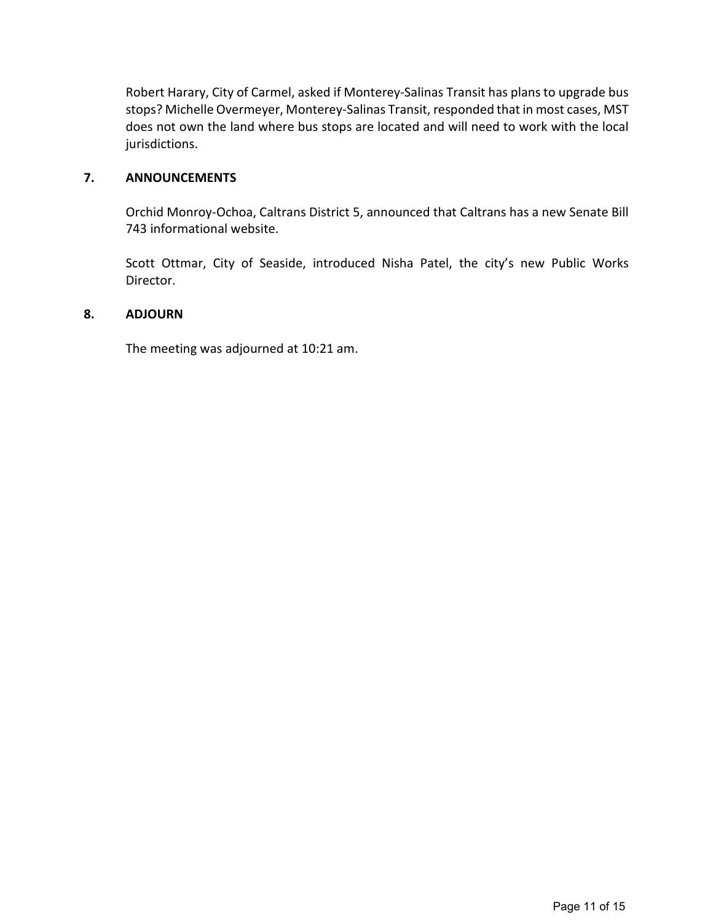Robert Harary, City of Carmel, asked if Monterey-Salinas Transit has plans to upgrade bus stops? Michelle Overmeyer, Monterey-Salinas Transit, responded that in most cases, MST does not own the land where bus stops are located and will need to work with the local jurisdictions.

## **7. ANNOUNCEMENTS**

Orchid Monroy-Ochoa, Caltrans District 5, announced that Caltrans has a new Senate Bill 743 informational website.

Scott Ottmar, City of Seaside, introduced Nisha Patel, the city's new Public Works Director.

## **8. ADJOURN**

The meeting was adjourned at 10:21 am.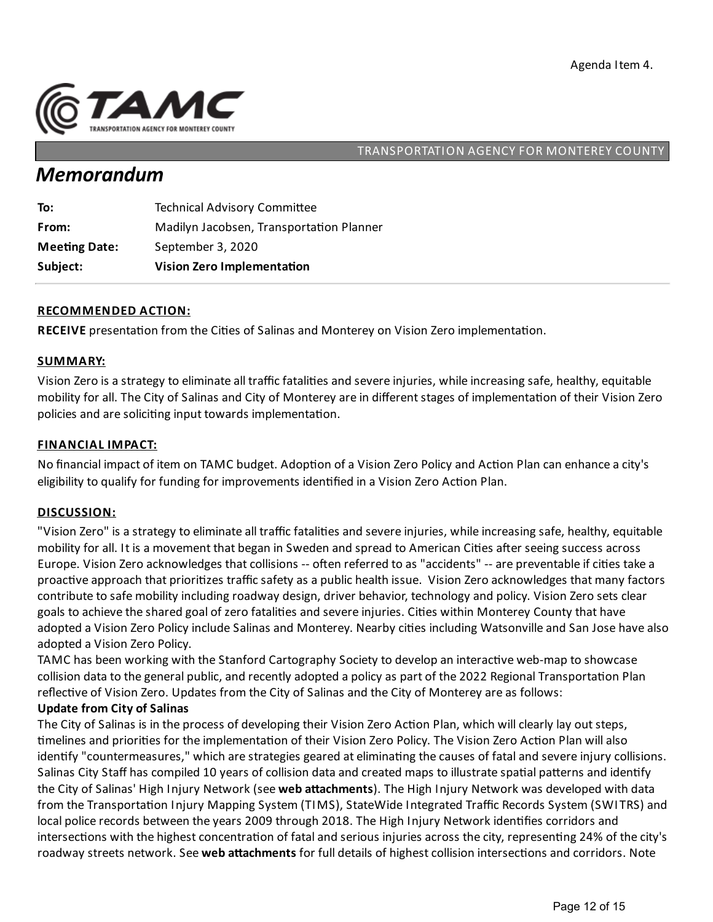

#### TRANSPORTATION AGENCY FOR MONTEREY COUNTY

# *Memorandum*

| Subject:             | <b>Vision Zero Implementation</b>        |
|----------------------|------------------------------------------|
| <b>Meeting Date:</b> | September 3, 2020                        |
| From:                | Madilyn Jacobsen, Transportation Planner |
| To:                  | <b>Technical Advisory Committee</b>      |

## **RECOMMENDED ACTION:**

RECEIVE presentation from the Cities of Salinas and Monterey on Vision Zero implementation.

#### **SUMMARY:**

Vision Zero is a strategy to eliminate all traffic fatalities and severe injuries, while increasing safe, healthy, equitable mobility for all. The City of Salinas and City of Monterey are in different stages of implementation of their Vision Zero policies and are soliciting input towards implementation.

#### **FINANCIAL IMPACT:**

No financial impact of item on TAMC budget. Adoption of a Vision Zero Policy and Action Plan can enhance a city's eligibility to qualify for funding for improvements identified in a Vision Zero Action Plan.

#### **DISCUSSION:**

"Vision Zero" is a strategy to eliminate all traffic fatalities and severe injuries, while increasing safe, healthy, equitable mobility for all. It is a movement that began in Sweden and spread to American Cities after seeing success across Europe. Vision Zero acknowledges that collisions -- often referred to as "accidents" -- are preventable if cities take a proactive approach that prioritizes traffic safety as a public health issue. Vision Zero acknowledges that many factors contribute to safe mobility including roadway design, driver behavior, technology and policy. Vision Zero sets clear goals to achieve the shared goal of zero fatalities and severe injuries. Cities within Monterey County that have adopted a Vision Zero Policy include Salinas and Monterey. Nearby cities including Watsonville and San Jose have also adopted a Vision Zero Policy.

TAMC has been working with the Stanford Cartography Society to develop an interactive web-map to showcase collision data to the general public, and recently adopted a policy as part of the 2022 Regional Transportation Plan reflective of Vision Zero. Updates from the City of Salinas and the City of Monterey are as follows:

#### **Update from City of Salinas**

The City of Salinas is in the process of developing their Vision Zero Action Plan, which will clearly lay out steps, timelines and priorities for the implementation of their Vision Zero Policy. The Vision Zero Action Plan will also identify "countermeasures," which are strategies geared at eliminating the causes of fatal and severe injury collisions. Salinas City Staff has compiled 10 years of collision data and created maps to illustrate spatial patterns and identify the City of Salinas' High Injury Network (see **web attachments**). The High Injury Network was developed with data from the Transportation Injury Mapping System (TIMS), StateWide Integrated Traffic Records System (SWITRS) and local police records between the years 2009 through 2018. The High Injury Network identifies corridors and intersections with the highest concentration of fatal and serious injuries across the city, representing 24% of the city's roadway streets network. See web attachments for full details of highest collision intersections and corridors. Note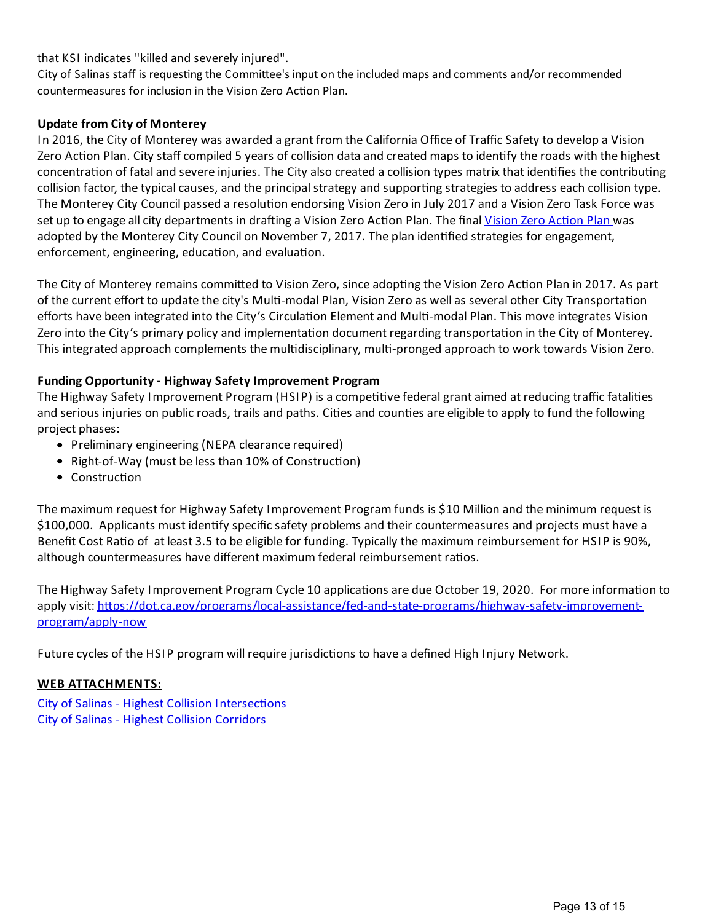that KSI indicates "killed and severely injured".

City of Salinas staff is requesting the Committee's input on the included maps and comments and/or recommended countermeasures for inclusion in the Vision Zero Action Plan.

## **Update from City of Monterey**

In 2016, the City of Monterey was awarded agrant from the California Office of Traffic Safety to develop a Vision Zero Action Plan. City staff compiled 5 years of collision data and created maps to identify the roads with the highest concentration of fatal and severe injuries. The City also created a collision types matrix that identifies the contributing collision factor, the typical causes, and the principal strategy and supporting strategies to address each collision type. The Monterey City Council passed a resolution endorsing Vision Zero in July 2017 and a Vision Zero Task Force was set up to engage all city departments in drafting a Vision Zero Action Plan. The final Vision Zero Action Plan was adopted by the Monterey City Council on November 7, 2017. The plan identified strategies for engagement, enforcement, engineering, education, and evaluation.

The City of Monterey remains committed to Vision Zero, since adopting the Vision Zero Action Plan in 2017. As part of the current effort to update the city's Multi-modal Plan, Vision Zero as well as several other City Transportation efforts have been integrated into the City's Circulation Element and Multi-modal Plan. This move integrates Vision Zero into the City's primary policy and implementation document regarding transportation in the City of Monterey. This integrated approach complements the multidisciplinary, multi-pronged approach to work towards Vision Zero.

## **Funding Opportunity- Highway Safety Improvement Program**

The Highway Safety Improvement Program (HSIP) is a competitive federal grant aimed at reducing traffic fatalities and serious injuries on public roads, trails and paths. Cities and counties are eligible to apply to fund the following project phases:

- Preliminary engineering (NEPA clearance required)
- Right-of-Way (must be less than 10% of Construction)
- $\bullet$  Construction

The maximum request for Highway Safety Improvement Program funds is \$10 Million and the minimum request is \$100,000. Applicants must identify specific safety problems and their countermeasures and projects must have a Benefit Cost Ratio of at least 3.5 to be eligible for funding. Typically the maximum reimbursement for HSIP is 90%, although countermeasures have different maximum federal reimbursement ratios.

The Highway Safety Improvement Program Cycle 10 applications are due October 19, 2020. For more information to apply visit: https://dot.ca.gov/programs/local-assistance/fed-and-state-programs/highway-safety-improvementprogram/apply-now

Future cycles of the HSIP program will require jurisdictions to have a defined High Injury Network.

## **WEB ATTACHMENTS:**

City of Salinas - Highest Collision Intersections City of Salinas - Highest Collision [Corridors](https://tamcmonterey.sharepoint.com/:b:/g/EbLToR0ABQhOi9kXRHTDSS8Bu10jczidKQVZpAfB24q9kA?e=9PEXDN)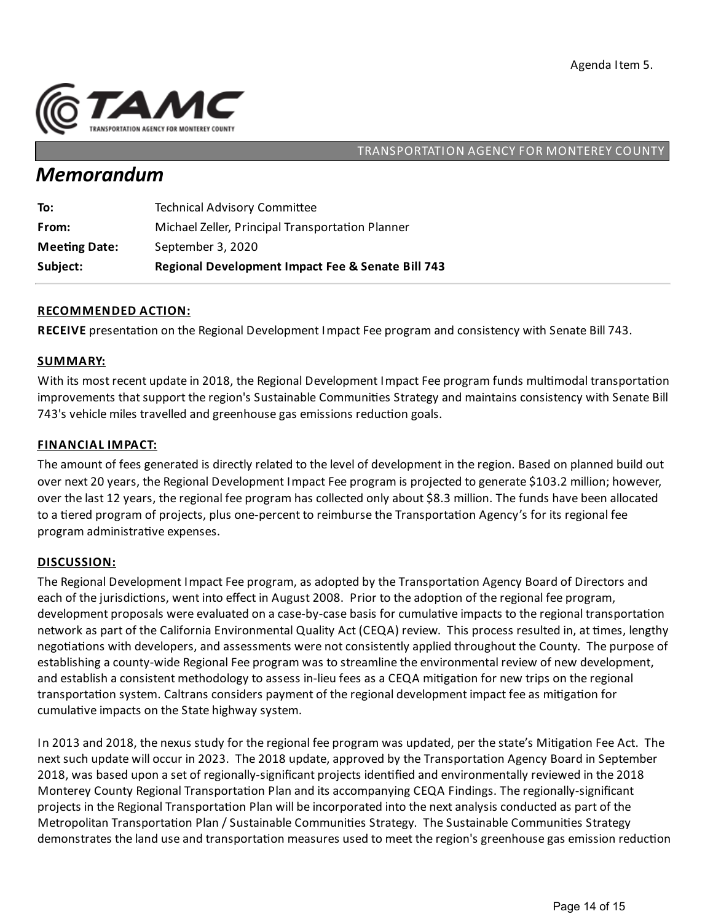

## TRANSPORTATION AGENCY FOR MONTEREY COUNTY

# *Memorandum*

| To:                  | <b>Technical Advisory Committee</b>                          |
|----------------------|--------------------------------------------------------------|
| From:                | Michael Zeller, Principal Transportation Planner             |
| <b>Meeting Date:</b> | September 3, 2020                                            |
| Subject:             | <b>Regional Development Impact Fee &amp; Senate Bill 743</b> |

## **RECOMMENDED ACTION:**

RECEIVE presentation on the Regional Development Impact Fee program and consistency with Senate Bill 743.

#### **SUMMARY:**

With its most recent update in 2018, the Regional Development Impact Fee program funds multimodal transportation improvements that support the region's Sustainable Communities Strategy and maintains consistency with Senate Bill 743's vehicle miles travelled and greenhouse gas emissions reduction goals.

## **FINANCIAL IMPACT:**

The amount of fees generated is directly related to the level of development in the region. Based on planned build out over next 20 years, the Regional Development Impact Fee program is projected to generate \$103.2 million; however, over the last 12 years, the regional fee program has collected only about \$8.3 million. The funds have been allocated to a tiered program of projects, plus one-percent to reimburse the Transportation Agency's for its regional fee program administrative expenses.

#### **DISCUSSION:**

The Regional Development Impact Fee program, as adopted by the Transportation Agency Board of Directors and each of the jurisdictions, went into effect in August 2008. Prior to the adoption of the regional fee program, development proposals were evaluated on a case-by-case basis for cumulative impacts to the regional transportation network as part of the California Environmental Quality Act (CEQA) review. This process resulted in, at times, lengthy negotiations with developers, and assessments were not consistently applied throughout the County. The purpose of establishing a county-wide Regional Fee program was to streamline the environmental review of new development, and establish a consistent methodology to assess in-lieu fees as a CEQA mitigation for new trips on the regional transportation system. Caltrans considers payment of the regional development impact fee as mitigation for cumulative impacts on the State highway system.

In 2013 and 2018, the nexus study for the regional fee program was updated, per the state's Mitigation Fee Act. The next such update will occur in 2023. The 2018 update, approved by the Transportation Agency Board in September 2018, was based upon aset of regionally-significant projects iden'fied and environmentally reviewed in the 2018 Monterey County Regional Transportation Plan and its accompanying CEQA Findings. The regionally-significant projects in the Regional Transportation Plan will be incorporated into the next analysis conducted as part of the Metropolitan Transportation Plan / Sustainable Communities Strategy. The Sustainable Communities Strategy demonstrates the land use and transportation measures used to meet the region's greenhouse gas emission reduction